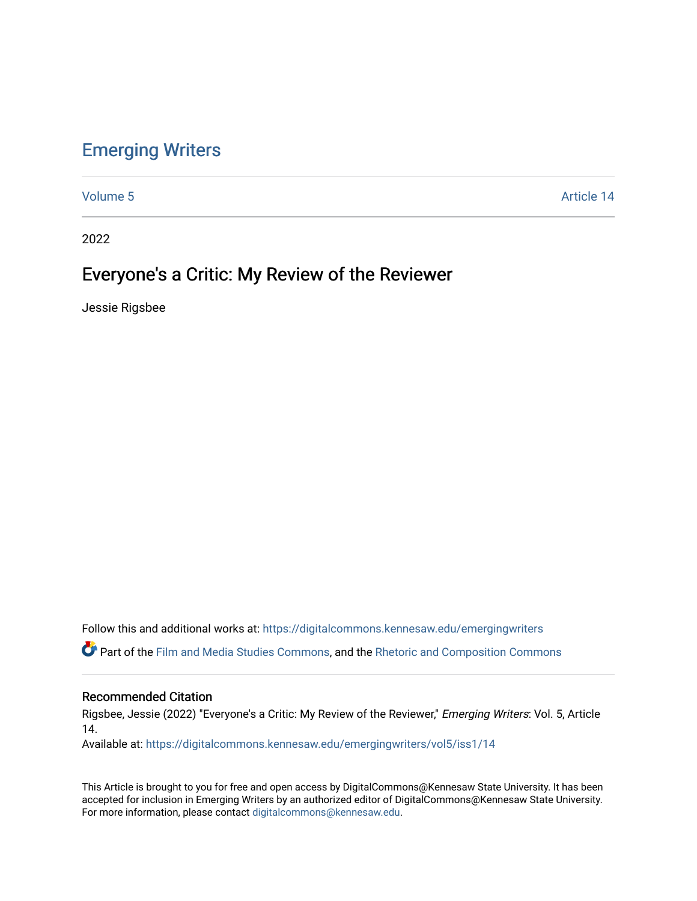## [Emerging Writers](https://digitalcommons.kennesaw.edu/emergingwriters)

[Volume 5](https://digitalcommons.kennesaw.edu/emergingwriters/vol5) Article 14

2022

# Everyone's a Critic: My Review of the Reviewer

Jessie Rigsbee

Follow this and additional works at: [https://digitalcommons.kennesaw.edu/emergingwriters](https://digitalcommons.kennesaw.edu/emergingwriters?utm_source=digitalcommons.kennesaw.edu%2Femergingwriters%2Fvol5%2Fiss1%2F14&utm_medium=PDF&utm_campaign=PDFCoverPages) 

Part of the [Film and Media Studies Commons,](http://network.bepress.com/hgg/discipline/563?utm_source=digitalcommons.kennesaw.edu%2Femergingwriters%2Fvol5%2Fiss1%2F14&utm_medium=PDF&utm_campaign=PDFCoverPages) and the [Rhetoric and Composition Commons](http://network.bepress.com/hgg/discipline/573?utm_source=digitalcommons.kennesaw.edu%2Femergingwriters%2Fvol5%2Fiss1%2F14&utm_medium=PDF&utm_campaign=PDFCoverPages) 

#### Recommended Citation

Rigsbee, Jessie (2022) "Everyone's a Critic: My Review of the Reviewer," Emerging Writers: Vol. 5, Article 14.

Available at: [https://digitalcommons.kennesaw.edu/emergingwriters/vol5/iss1/14](https://digitalcommons.kennesaw.edu/emergingwriters/vol5/iss1/14?utm_source=digitalcommons.kennesaw.edu%2Femergingwriters%2Fvol5%2Fiss1%2F14&utm_medium=PDF&utm_campaign=PDFCoverPages)

This Article is brought to you for free and open access by DigitalCommons@Kennesaw State University. It has been accepted for inclusion in Emerging Writers by an authorized editor of DigitalCommons@Kennesaw State University. For more information, please contact [digitalcommons@kennesaw.edu.](mailto:digitalcommons@kennesaw.edu)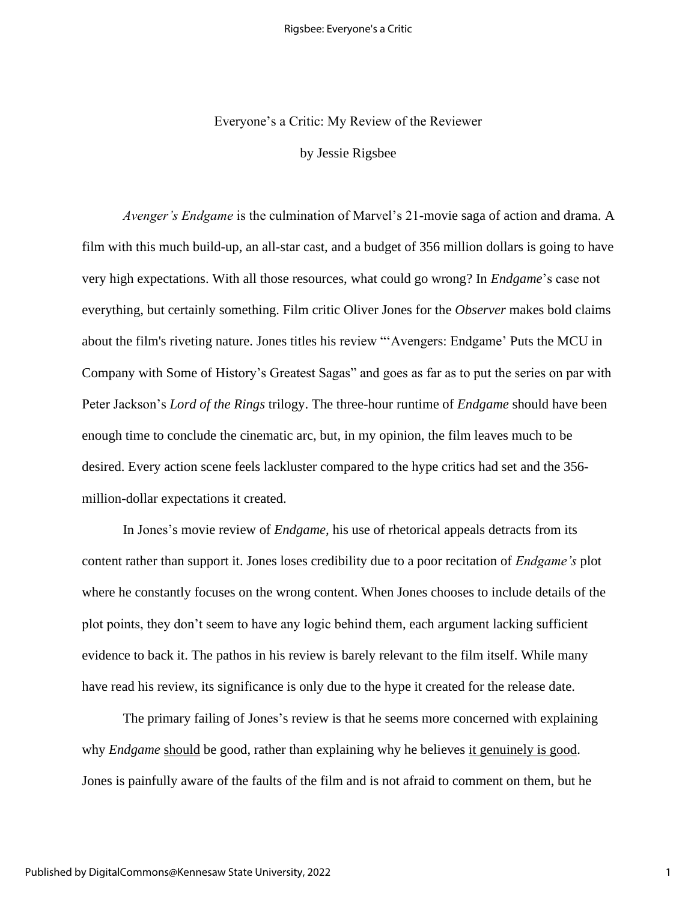#### Everyone's a Critic: My Review of the Reviewer

by Jessie Rigsbee

*Avenger's Endgame* is the culmination of Marvel's 21-movie saga of action and drama. A film with this much build-up, an all-star cast, and a budget of 356 million dollars is going to have very high expectations. With all those resources, what could go wrong? In *Endgame*'s case not everything, but certainly something. Film critic Oliver Jones for the *Observer* makes bold claims about the film's riveting nature. Jones titles his review "'Avengers: Endgame' Puts the MCU in Company with Some of History's Greatest Sagas" and goes as far as to put the series on par with Peter Jackson's *Lord of the Rings* trilogy. The three-hour runtime of *Endgame* should have been enough time to conclude the cinematic arc, but, in my opinion, the film leaves much to be desired. Every action scene feels lackluster compared to the hype critics had set and the 356 million-dollar expectations it created.

In Jones's movie review of *Endgame,* his use of rhetorical appeals detracts from its content rather than support it. Jones loses credibility due to a poor recitation of *Endgame's* plot where he constantly focuses on the wrong content. When Jones chooses to include details of the plot points, they don't seem to have any logic behind them, each argument lacking sufficient evidence to back it. The pathos in his review is barely relevant to the film itself. While many have read his review, its significance is only due to the hype it created for the release date.

The primary failing of Jones's review is that he seems more concerned with explaining why *Endgame* should be good, rather than explaining why he believes it genuinely is good. Jones is painfully aware of the faults of the film and is not afraid to comment on them, but he

1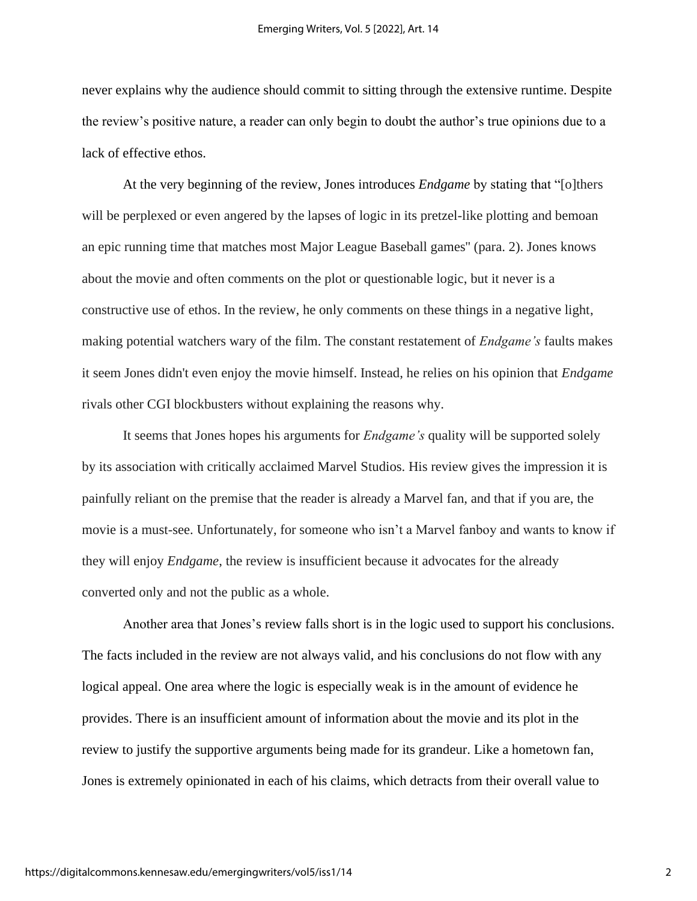never explains why the audience should commit to sitting through the extensive runtime. Despite the review's positive nature, a reader can only begin to doubt the author's true opinions due to a lack of effective ethos.

At the very beginning of the review, Jones introduces *Endgame* by stating that "[o]thers will be perplexed or even angered by the lapses of logic in its pretzel-like plotting and bemoan an epic running time that matches most Major League Baseball games'' (para. 2). Jones knows about the movie and often comments on the plot or questionable logic, but it never is a constructive use of ethos. In the review, he only comments on these things in a negative light, making potential watchers wary of the film. The constant restatement of *Endgame's* faults makes it seem Jones didn't even enjoy the movie himself. Instead, he relies on his opinion that *Endgame*  rivals other CGI blockbusters without explaining the reasons why.

It seems that Jones hopes his arguments for *Endgame's* quality will be supported solely by its association with critically acclaimed Marvel Studios. His review gives the impression it is painfully reliant on the premise that the reader is already a Marvel fan, and that if you are, the movie is a must-see. Unfortunately, for someone who isn't a Marvel fanboy and wants to know if they will enjoy *Endgame*, the review is insufficient because it advocates for the already converted only and not the public as a whole.

Another area that Jones's review falls short is in the logic used to support his conclusions. The facts included in the review are not always valid, and his conclusions do not flow with any logical appeal. One area where the logic is especially weak is in the amount of evidence he provides. There is an insufficient amount of information about the movie and its plot in the review to justify the supportive arguments being made for its grandeur. Like a hometown fan, Jones is extremely opinionated in each of his claims, which detracts from their overall value to

2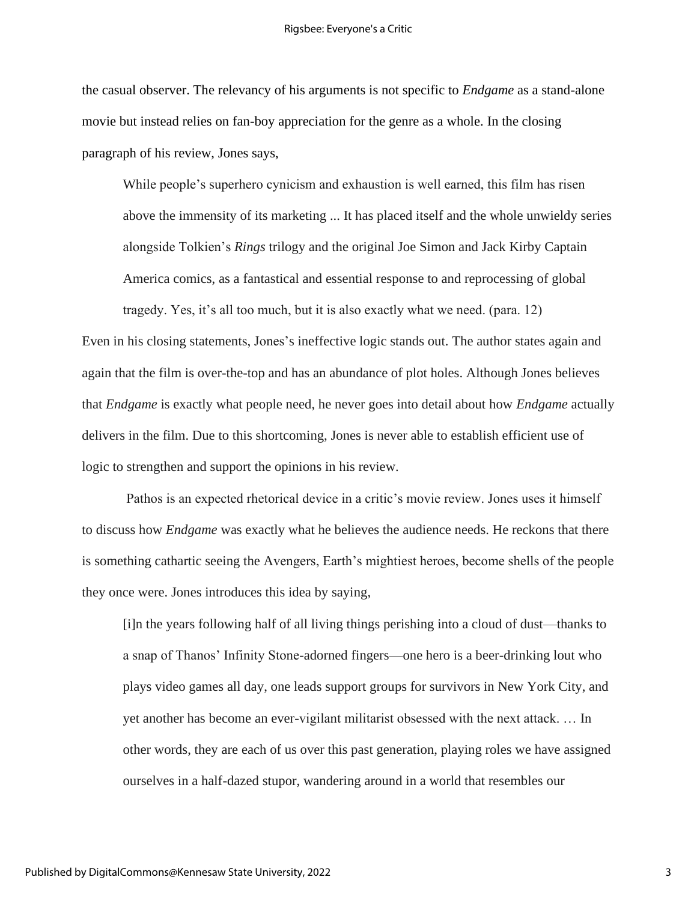the casual observer. The relevancy of his arguments is not specific to *Endgame* as a stand-alone movie but instead relies on fan-boy appreciation for the genre as a whole. In the closing paragraph of his review, Jones says,

While people's superhero cynicism and exhaustion is well earned, this film has risen above the immensity of its marketing ... It has placed itself and the whole unwieldy series alongside Tolkien's *Rings* trilogy and the original Joe Simon and Jack Kirby Captain America comics, as a fantastical and essential response to and reprocessing of global

tragedy. Yes, it's all too much, but it is also exactly what we need. (para. 12) Even in his closing statements, Jones's ineffective logic stands out. The author states again and again that the film is over-the-top and has an abundance of plot holes. Although Jones believes that *Endgame* is exactly what people need, he never goes into detail about how *Endgame* actually delivers in the film. Due to this shortcoming, Jones is never able to establish efficient use of logic to strengthen and support the opinions in his review.

Pathos is an expected rhetorical device in a critic's movie review. Jones uses it himself to discuss how *Endgame* was exactly what he believes the audience needs. He reckons that there is something cathartic seeing the Avengers, Earth's mightiest heroes, become shells of the people they once were. Jones introduces this idea by saying,

[i]n the years following half of all living things perishing into a cloud of dust—thanks to a snap of Thanos' Infinity Stone-adorned fingers—one hero is a beer-drinking lout who plays video games all day, one leads support groups for survivors in New York City, and yet another has become an ever-vigilant militarist obsessed with the next attack. … In other words, they are each of us over this past generation, playing roles we have assigned ourselves in a half-dazed stupor, wandering around in a world that resembles our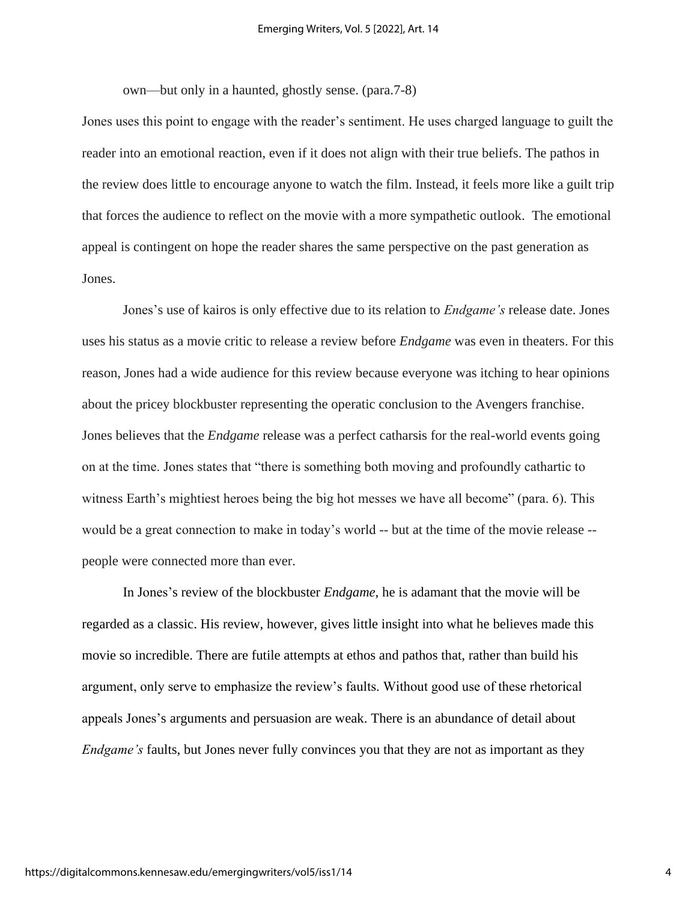own—but only in a haunted, ghostly sense. (para.7-8)

Jones uses this point to engage with the reader's sentiment. He uses charged language to guilt the reader into an emotional reaction, even if it does not align with their true beliefs. The pathos in the review does little to encourage anyone to watch the film. Instead, it feels more like a guilt trip that forces the audience to reflect on the movie with a more sympathetic outlook. The emotional appeal is contingent on hope the reader shares the same perspective on the past generation as Jones.

Jones's use of kairos is only effective due to its relation to *Endgame's* release date. Jones uses his status as a movie critic to release a review before *Endgame* was even in theaters. For this reason, Jones had a wide audience for this review because everyone was itching to hear opinions about the pricey blockbuster representing the operatic conclusion to the Avengers franchise. Jones believes that the *Endgame* release was a perfect catharsis for the real-world events going on at the time. Jones states that "there is something both moving and profoundly cathartic to witness Earth's mightiest heroes being the big hot messes we have all become" (para. 6). This would be a great connection to make in today's world -- but at the time of the movie release - people were connected more than ever.

In Jones's review of the blockbuster *Endgame*, he is adamant that the movie will be regarded as a classic. His review, however, gives little insight into what he believes made this movie so incredible. There are futile attempts at ethos and pathos that, rather than build his argument, only serve to emphasize the review's faults. Without good use of these rhetorical appeals Jones's arguments and persuasion are weak. There is an abundance of detail about *Endgame's* faults, but Jones never fully convinces you that they are not as important as they

4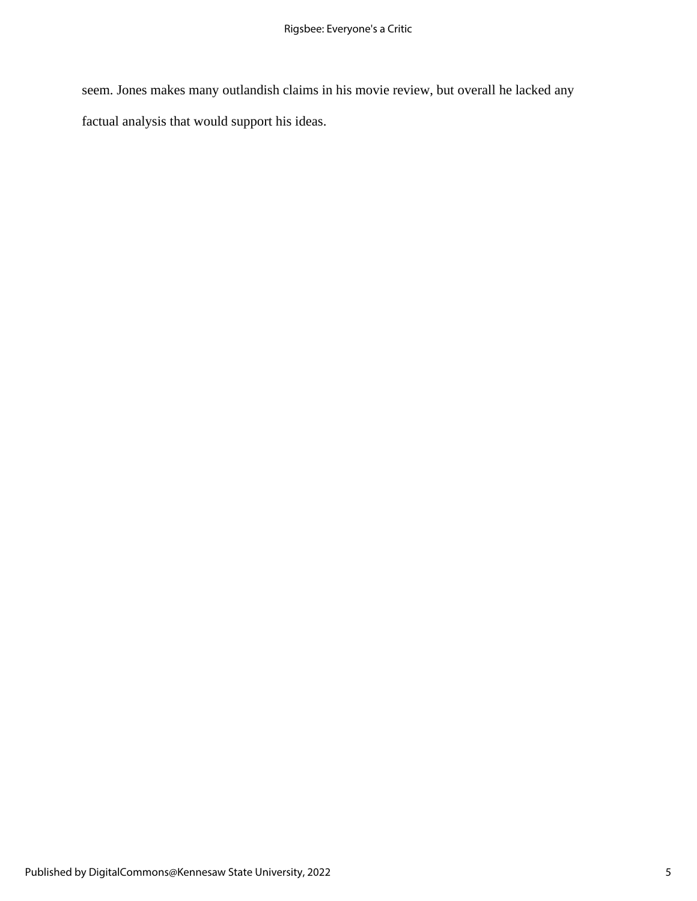seem. Jones makes many outlandish claims in his movie review, but overall he lacked any factual analysis that would support his ideas.